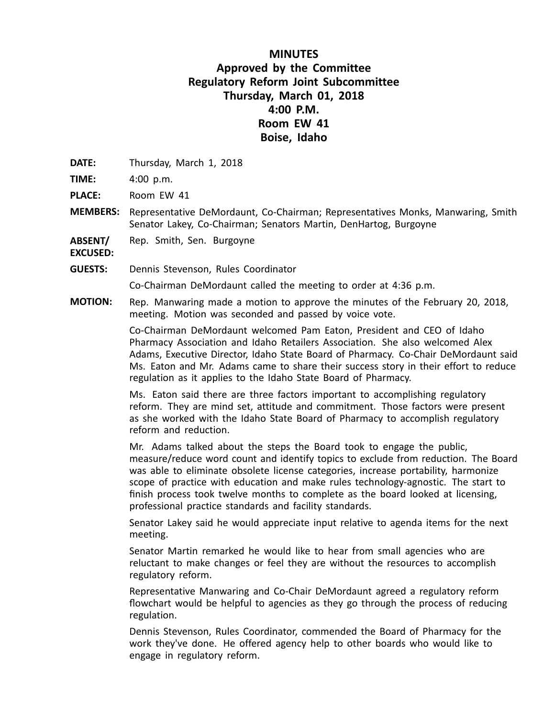## **MINUTES Approved by the Committee Regulatory Reform Joint Subcommittee Thursday, March 01, 2018 4:00 P.M. Room EW 41 Boise, Idaho**

**DATE:** Thursday, March 1, 2018

**TIME:** 4:00 p.m.

**PLACE:** Room EW 41

**MEMBERS:** Representative DeMordaunt, Co-Chairman; Representatives Monks, Manwaring, Smith Senator Lakey, Co-Chairman; Senators Martin, DenHartog, Burgoyne

**ABSENT/** Rep. Smith, Sen. Burgoyne

**EXCUSED:**

**GUESTS:** Dennis Stevenson, Rules Coordinator

Co-Chairman DeMordaunt called the meeting to order at 4:36 p.m.

**MOTION:** Rep. Manwaring made <sup>a</sup> motion to approve the minutes of the February 20, 2018, meeting. Motion was seconded and passed by voice vote.

> Co-Chairman DeMordaunt welcomed Pam Eaton, President and CEO of Idaho Pharmacy Association and Idaho Retailers Association. She also welcomed Alex Adams, Executive Director, Idaho State Board of Pharmacy. Co-Chair DeMordaunt said Ms. Eaton and Mr. Adams came to share their success story in their effort to reduce regulation as it applies to the Idaho State Board of Pharmacy.

Ms. Eaton said there are three factors important to accomplishing regulatory reform. They are mind set, attitude and commitment. Those factors were present as she worked with the Idaho State Board of Pharmacy to accomplish regulatory reform and reduction.

Mr. Adams talked about the steps the Board took to engage the public, measure/reduce word count and identify topics to exclude from reduction. The Board was able to eliminate obsolete license categories, increase portability, harmonize scope of practice with education and make rules technology-agnostic. The start to finish process took twelve months to complete as the board looked at licensing, professional practice standards and facility standards.

Senator Lakey said he would appreciate input relative to agenda items for the next meeting.

Senator Martin remarked he would like to hear from small agencies who are reluctant to make changes or feel they are without the resources to accomplish regulatory reform.

Representative Manwaring and Co-Chair DeMordaunt agreed <sup>a</sup> regulatory reform flowchart would be helpful to agencies as they go through the process of reducing regulation.

Dennis Stevenson, Rules Coordinator, commended the Board of Pharmacy for the work they've done. He offered agency help to other boards who would like to engage in regulatory reform.